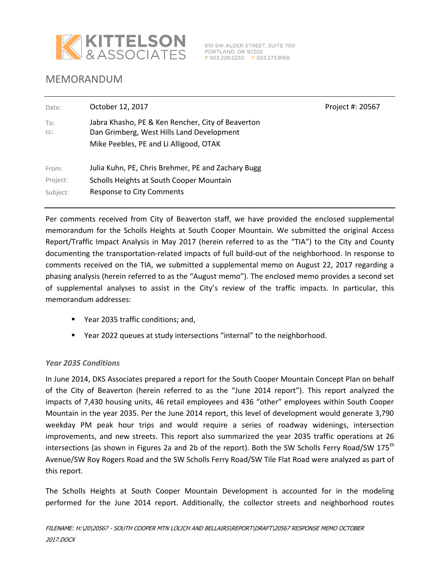

# MEMORANDUM

| Date:      | October 12, 2017                                                                                                                         | Project #: 20567 |
|------------|------------------------------------------------------------------------------------------------------------------------------------------|------------------|
| To:<br>CC: | Jabra Khasho, PE & Ken Rencher, City of Beaverton<br>Dan Grimberg, West Hills Land Development<br>Mike Peebles, PE and Li Alligood, OTAK |                  |
| From:      | Julia Kuhn, PE, Chris Brehmer, PE and Zachary Bugg                                                                                       |                  |
| Project:   | Scholls Heights at South Cooper Mountain                                                                                                 |                  |
| Subject:   | Response to City Comments                                                                                                                |                  |

Per comments received from City of Beaverton staff, we have provided the enclosed supplemental memorandum for the Scholls Heights at South Cooper Mountain. We submitted the original Access Report/Traffic Impact Analysis in May 2017 (herein referred to as the "TIA") to the City and County documenting the transportation-related impacts of full build-out of the neighborhood. In response to comments received on the TIA, we submitted a supplemental memo on August 22, 2017 regarding a phasing analysis (herein referred to as the "August memo"). The enclosed memo provides a second set of supplemental analyses to assist in the City's review of the traffic impacts. In particular, this memorandum addresses:

- Year 2035 traffic conditions; and,
- Year 2022 queues at study intersections "internal" to the neighborhood.

### *Year 2035 Conditions*

In June 2014, DKS Associates prepared a report for the South Cooper Mountain Concept Plan on behalf of the City of Beaverton (herein referred to as the "June 2014 report"). This report analyzed the impacts of 7,430 housing units, 46 retail employees and 436 "other" employees within South Cooper Mountain in the year 2035. Per the June 2014 report, this level of development would generate 3,790 weekday PM peak hour trips and would require a series of roadway widenings, intersection improvements, and new streets. This report also summarized the year 2035 traffic operations at 26 intersections (as shown in Figures 2a and 2b of the report). Both the SW Scholls Ferry Road/SW 175<sup>th</sup> Avenue/SW Roy Rogers Road and the SW Scholls Ferry Road/SW Tile Flat Road were analyzed as part of this report.

The Scholls Heights at South Cooper Mountain Development is accounted for in the modeling performed for the June 2014 report. Additionally, the collector streets and neighborhood routes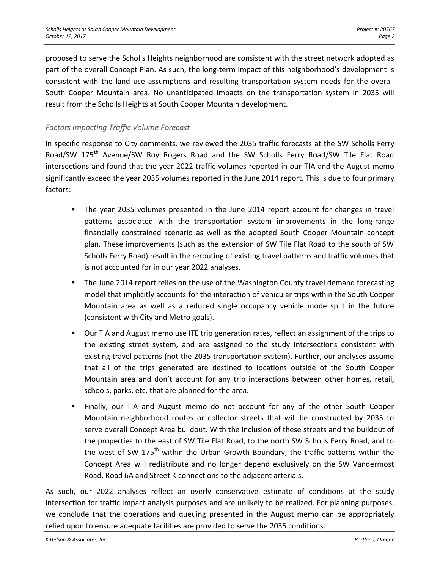proposed to serve the Scholls Heights neighborhood are consistent with the street network adopted as part of the overall Concept Plan. As such, the long-term impact of this neighborhood's development is consistent with the land use assumptions and resulting transportation system needs for the overall South Cooper Mountain area. No unanticipated impacts on the transportation system in 2035 will result from the Scholls Heights at South Cooper Mountain development.

## *Factors Impacting Traffic Volume Forecast*

In specific response to City comments, we reviewed the 2035 traffic forecasts at the SW Scholls Ferry Road/SW 175<sup>th</sup> Avenue/SW Roy Rogers Road and the SW Scholls Ferry Road/SW Tile Flat Road intersections and found that the year 2022 traffic volumes reported in our TIA and the August memo significantly exceed the year 2035 volumes reported in the June 2014 report. This is due to four primary factors:

- The year 2035 volumes presented in the June 2014 report account for changes in travel patterns associated with the transportation system improvements in the long-range financially constrained scenario as well as the adopted South Cooper Mountain concept plan. These improvements (such as the extension of SW Tile Flat Road to the south of SW Scholls Ferry Road) result in the rerouting of existing travel patterns and traffic volumes that is not accounted for in our year 2022 analyses.
- **The June 2014 report relies on the use of the Washington County travel demand forecasting** model that implicitly accounts for the interaction of vehicular trips within the South Cooper Mountain area as well as a reduced single occupancy vehicle mode split in the future (consistent with City and Metro goals).
- Our TIA and August memo use ITE trip generation rates, reflect an assignment of the trips to the existing street system, and are assigned to the study intersections consistent with existing travel patterns (not the 2035 transportation system). Further, our analyses assume that all of the trips generated are destined to locations outside of the South Cooper Mountain area and don't account for any trip interactions between other homes, retail, schools, parks, etc. that are planned for the area.
- Finally, our TIA and August memo do not account for any of the other South Cooper Mountain neighborhood routes or collector streets that will be constructed by 2035 to serve overall Concept Area buildout. With the inclusion of these streets and the buildout of the properties to the east of SW Tile Flat Road, to the north SW Scholls Ferry Road, and to the west of SW 175<sup>th</sup> within the Urban Growth Boundary, the traffic patterns within the Concept Area will redistribute and no longer depend exclusively on the SW Vandermost Road, Road 6A and Street K connections to the adjacent arterials.

As such, our 2022 analyses reflect an overly conservative estimate of conditions at the study intersection for traffic impact analysis purposes and are unlikely to be realized. For planning purposes, we conclude that the operations and queuing presented in the August memo can be appropriately relied upon to ensure adequate facilities are provided to serve the 2035 conditions.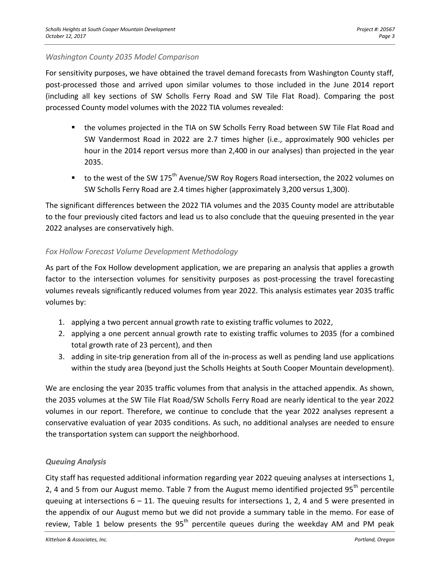#### *Washington County 2035 Model Comparison*

For sensitivity purposes, we have obtained the travel demand forecasts from Washington County staff, post-processed those and arrived upon similar volumes to those included in the June 2014 report (including all key sections of SW Scholls Ferry Road and SW Tile Flat Road). Comparing the post processed County model volumes with the 2022 TIA volumes revealed:

- the volumes projected in the TIA on SW Scholls Ferry Road between SW Tile Flat Road and SW Vandermost Road in 2022 are 2.7 times higher (i.e., approximately 900 vehicles per hour in the 2014 report versus more than 2,400 in our analyses) than projected in the year 2035.
- to the west of the SW 175<sup>th</sup> Avenue/SW Roy Rogers Road intersection, the 2022 volumes on SW Scholls Ferry Road are 2.4 times higher (approximately 3,200 versus 1,300).

The significant differences between the 2022 TIA volumes and the 2035 County model are attributable to the four previously cited factors and lead us to also conclude that the queuing presented in the year 2022 analyses are conservatively high.

### *Fox Hollow Forecast Volume Development Methodology*

As part of the Fox Hollow development application, we are preparing an analysis that applies a growth factor to the intersection volumes for sensitivity purposes as post-processing the travel forecasting volumes reveals significantly reduced volumes from year 2022. This analysis estimates year 2035 traffic volumes by:

- 1. applying a two percent annual growth rate to existing traffic volumes to 2022,
- 2. applying a one percent annual growth rate to existing traffic volumes to 2035 (for a combined total growth rate of 23 percent), and then
- 3. adding in site-trip generation from all of the in-process as well as pending land use applications within the study area (beyond just the Scholls Heights at South Cooper Mountain development).

We are enclosing the year 2035 traffic volumes from that analysis in the attached appendix. As shown, the 2035 volumes at the SW Tile Flat Road/SW Scholls Ferry Road are nearly identical to the year 2022 volumes in our report. Therefore, we continue to conclude that the year 2022 analyses represent a conservative evaluation of year 2035 conditions. As such, no additional analyses are needed to ensure the transportation system can support the neighborhood.

# *Queuing Analysis*

City staff has requested additional information regarding year 2022 queuing analyses at intersections 1, 2, 4 and 5 from our August memo. Table 7 from the August memo identified projected 95<sup>th</sup> percentile queuing at intersections  $6 - 11$ . The queuing results for intersections 1, 2, 4 and 5 were presented in the appendix of our August memo but we did not provide a summary table in the memo. For ease of review, Table 1 below presents the  $95<sup>th</sup>$  percentile queues during the weekday AM and PM peak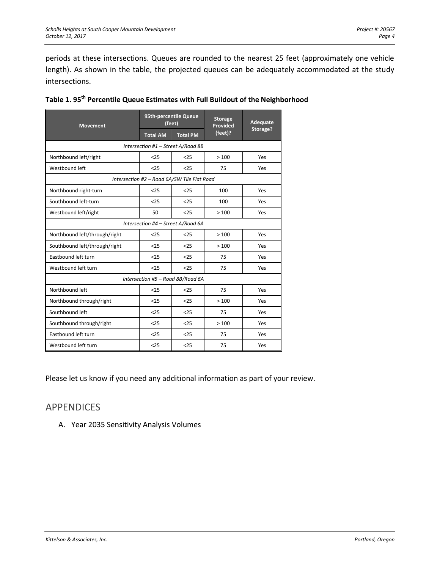periods at these intersections. Queues are rounded to the nearest 25 feet (approximately one vehicle length). As shown in the table, the projected queues can be adequately accommodated at the study intersections.

| <b>Movement</b>                             | 95th-percentile Queue<br>(feet) |                 | <b>Storage</b><br><b>Provided</b> | <b>Adequate</b> |  |  |  |  |
|---------------------------------------------|---------------------------------|-----------------|-----------------------------------|-----------------|--|--|--|--|
|                                             | <b>Total AM</b>                 | <b>Total PM</b> | (feet)?                           | Storage?        |  |  |  |  |
| Intersection #1 - Street A/Road 8B          |                                 |                 |                                   |                 |  |  |  |  |
| Northbound left/right                       | < 25                            | < 25            | >100                              | Yes             |  |  |  |  |
| Westbound left                              | $25$                            | $25$            | 75                                | Yes             |  |  |  |  |
| Intersection #2 - Road 6A/SW Tile Flat Road |                                 |                 |                                   |                 |  |  |  |  |
| Northbound right-turn                       | $25$                            | < 25            | 100                               | Yes             |  |  |  |  |
| Southbound left-turn                        | < 25                            | < 25            | 100                               | Yes             |  |  |  |  |
| Westbound left/right                        | 50                              | < 25            | >100                              | Yes             |  |  |  |  |
| Intersection #4 - Street A/Road 6A          |                                 |                 |                                   |                 |  |  |  |  |
| Northbound left/through/right               | < 25                            | < 25            | >100                              | Yes             |  |  |  |  |
| Southbound left/through/right               | < 25                            | < 25            | >100                              | Yes             |  |  |  |  |
| Eastbound left turn                         | < 25                            | < 25            | 75                                | Yes             |  |  |  |  |
| Westbound left turn                         | < 25                            | < 25            | 75                                | Yes             |  |  |  |  |
| Intersection #5 - Road 8B/Road 6A           |                                 |                 |                                   |                 |  |  |  |  |
| Northbound left                             | $25$                            | < 25            | 75                                | Yes             |  |  |  |  |
| Northbound through/right                    | < 25                            | < 25            | >100                              | Yes             |  |  |  |  |
| Southbound left                             | < 25                            | < 25            | 75                                | Yes             |  |  |  |  |
| Southbound through/right                    | $25$                            | $25$            | >100                              | Yes             |  |  |  |  |
| Eastbound left turn                         | < 25                            | < 25            | 75                                | Yes             |  |  |  |  |
| Westbound left turn                         | $25$                            | $25$            | 75                                | Yes             |  |  |  |  |

|  |  |  |  |  | Table 1. 95 <sup>th</sup> Percentile Queue Estimates with Full Buildout of the Neighborhood |
|--|--|--|--|--|---------------------------------------------------------------------------------------------|
|--|--|--|--|--|---------------------------------------------------------------------------------------------|

Please let us know if you need any additional information as part of your review.

# APPENDICES

A. Year 2035 Sensitivity Analysis Volumes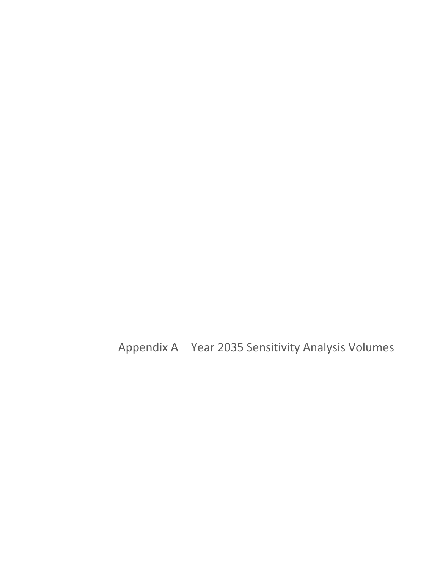Appendix A Year 2035 Sensitivity Analysis Volumes